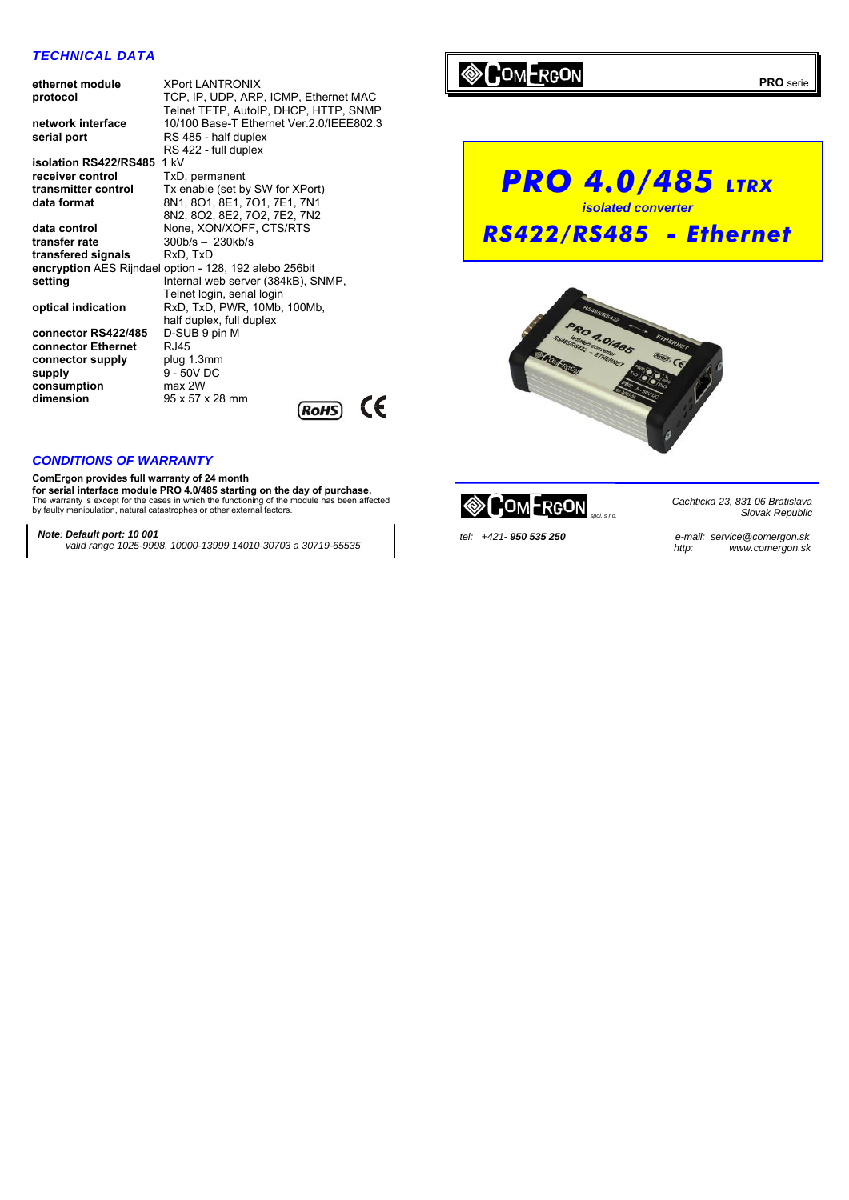# *TECHNICAL DATA*

| ethernet module       | <b>XPort LANTRONIX</b>                                 |  |  |
|-----------------------|--------------------------------------------------------|--|--|
| protocol              | TCP, IP, UDP, ARP, ICMP, Ethernet MAC                  |  |  |
|                       | Telnet TFTP, AutoIP, DHCP, HTTP, SNMP                  |  |  |
| network interface     | 10/100 Base-T Ethernet Ver.2.0/IEEE802.3               |  |  |
| serial port           | RS 485 - half duplex                                   |  |  |
|                       | RS 422 - full duplex                                   |  |  |
| isolation RS422/RS485 | 1 kV                                                   |  |  |
| receiver control      | TxD, permanent                                         |  |  |
|                       |                                                        |  |  |
| transmitter control   | Tx enable (set by SW for XPort)                        |  |  |
| data format           | 8N1, 8O1, 8E1, 7O1, 7E1, 7N1                           |  |  |
|                       | 8N2, 8O2, 8E2, 7O2, 7E2, 7N2                           |  |  |
| data control          | None, XON/XOFF, CTS/RTS                                |  |  |
| transfer rate         | $300b/s - 230kb/s$                                     |  |  |
| transfered signals    | RxD, TxD                                               |  |  |
|                       | encryption AES Rijndael option - 128, 192 alebo 256bit |  |  |
| setting               | Internal web server (384kB), SNMP,                     |  |  |
|                       | Telnet login, serial login                             |  |  |
| optical indication    | RxD, TxD, PWR, 10Mb, 100Mb,                            |  |  |
|                       | half duplex, full duplex                               |  |  |
| connector RS422/485   | D-SUB 9 pin M                                          |  |  |
| connector Ethernet    | RJ45                                                   |  |  |
|                       |                                                        |  |  |
| connector supply      | plug 1.3mm                                             |  |  |
| supply                | 9 - 50V DC                                             |  |  |
| consumption           | max 2W                                                 |  |  |
| dimension             | 95 x 57 x 28 mm                                        |  |  |
|                       | <b>RoHS</b>                                            |  |  |
|                       |                                                        |  |  |

# **COMERGON**





# *CONDITIONS OF WARRANTY*

**ComErgon provides full warranty of 24 month for serial interface module PRO 4.0/485 starting on the day of purchase.**<br>The warranty is except for the cases in which the functioning of the module has been affected by faulty manipulation, natural catastrophes or other external factors.

### *Note: Default port: 10 001*

 *valid range 1025-9998, 10000-13999,14010-30703 a 30719-65535*



*Cachticka 23, 831 06 Bratislava* 

*Slovak Republic*

*tel: +421- 950 535 250 e-mail: service@comergon.sk http: www.comergon.sk*